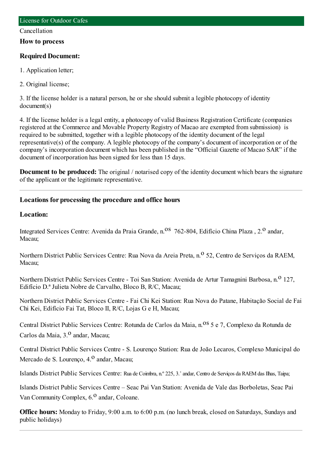#### Cancellation

**How to process**

## **Required Document:**

- 1. Application letter;
- 2. Original license;

3. If the license holder is a natural person, he or she should submit a legible photocopy of identity document(s)

4. If the license holder is a legal entity, a photocopy of valid Business Registration Certificate (companies registered at the Commerce and Movable Property Registry of Macao are exempted fromsubmission) is required to be submitted, together with a legible photocopy of the identity document of the legal representative(s) of the company. A legible photocopy of the company's document of incorporation or of the company's incorporation document which has been published in the "Official Gazette of Macao SAR" if the document of incorporation has been signed for less than 15 days.

**Document to be produced:** The original / notarised copy of the identity document which bears the signature of the applicant or the legitimate representative.

# **Locations for processing the procedure and office hours**

### **Location:**

Integrated Services Centre: Avenida da Praia Grande, n.<sup>08</sup> 762-804, Edifício China Plaza, 2.<sup>0</sup> andar, Macau;

Northern District Public Services Centre: Rua Nova da Areia Preta, n.<sup>o</sup> 52, Centro de Servicos da RAEM, Macau;

Northern District Public Services Centre - Toi San Station: Avenida de Artur Tamagnini Barbosa, n.<sup>0</sup> 127, Edifício D.ª Julieta Nobre de Carvalho, Bloco B, R/C, Macau;

Northern District Public Services Centre - Fai Chi Kei Station: Rua Nova do Patane, Habitação Social de Fai Chi Kei, Edifício Fai Tat, Bloco II, R/C, Lojas G e H, Macau;

Central District Public Services Centre: Rotunda de Carlos da Maia, n.<sup>08</sup> 5 e 7, Complexo da Rotunda de Carlos da Maia, 3.<sup>0</sup> andar, Macau;

Central District Public Services Centre - S. Lourenço Station: Rua de João Lecaros, Complexo Municipal do Mercado de S. Lourenço, 4.<sup>0</sup> andar, Macau;

Islands District Public Services Centre: Rua de Coimbra, n.º 225, 3.˚andar, Centro de Serviços da RAEMdas Ilhas, Taipa;

Islands District Public Services Centre – Seac Pai Van Station: Avenida de Vale das Borboletas, Seac Pai Van Community Complex,  $6<sup>0</sup>$  andar, Coloane.

**Office hours:** Monday to Friday, 9:00 a.m. to 6:00 p.m. (no lunch break, closed on Saturdays, Sundays and public holidays)